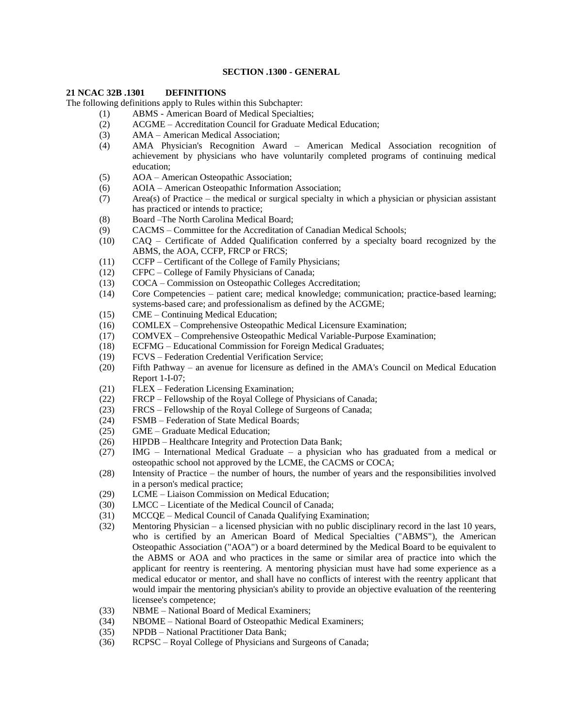## **SECTION .1300 - GENERAL**

## **21 NCAC 32B .1301 DEFINITIONS**

The following definitions apply to Rules within this Subchapter:

- (1) ABMS American Board of Medical Specialties;
- (2) ACGME Accreditation Council for Graduate Medical Education;
- (3) AMA American Medical Association;
- (4) AMA Physician's Recognition Award American Medical Association recognition of achievement by physicians who have voluntarily completed programs of continuing medical education;
- (5) AOA American Osteopathic Association;
- (6) AOIA American Osteopathic Information Association;
- (7) Area(s) of Practice the medical or surgical specialty in which a physician or physician assistant has practiced or intends to practice;
- (8) Board –The North Carolina Medical Board;
- (9) CACMS Committee for the Accreditation of Canadian Medical Schools;
- (10) CAQ Certificate of Added Qualification conferred by a specialty board recognized by the ABMS, the AOA, CCFP, FRCP or FRCS;
- (11) CCFP Certificant of the College of Family Physicians;
- (12) CFPC College of Family Physicians of Canada;
- (13) COCA Commission on Osteopathic Colleges Accreditation;
- (14) Core Competencies patient care; medical knowledge; communication; practice-based learning; systems-based care; and professionalism as defined by the ACGME;
- (15) CME Continuing Medical Education;
- (16) COMLEX Comprehensive Osteopathic Medical Licensure Examination;
- (17) COMVEX Comprehensive Osteopathic Medical Variable-Purpose Examination;
- (18) ECFMG Educational Commission for Foreign Medical Graduates;
- (19) FCVS Federation Credential Verification Service;
- (20) Fifth Pathway an avenue for licensure as defined in the AMA's Council on Medical Education Report 1-I-07;
- (21) FLEX Federation Licensing Examination;
- (22) FRCP Fellowship of the Royal College of Physicians of Canada;
- (23) FRCS Fellowship of the Royal College of Surgeons of Canada;
- (24) FSMB Federation of State Medical Boards;
- (25) GME Graduate Medical Education;
- (26) HIPDB Healthcare Integrity and Protection Data Bank;
- (27) IMG International Medical Graduate a physician who has graduated from a medical or osteopathic school not approved by the LCME, the CACMS or COCA;
- (28) Intensity of Practice the number of hours, the number of years and the responsibilities involved in a person's medical practice;
- (29) LCME Liaison Commission on Medical Education;
- (30) LMCC Licentiate of the Medical Council of Canada;
- (31) MCCQE Medical Council of Canada Qualifying Examination;
- (32) Mentoring Physician a licensed physician with no public disciplinary record in the last 10 years, who is certified by an American Board of Medical Specialties ("ABMS"), the American Osteopathic Association ("AOA") or a board determined by the Medical Board to be equivalent to the ABMS or AOA and who practices in the same or similar area of practice into which the applicant for reentry is reentering. A mentoring physician must have had some experience as a medical educator or mentor, and shall have no conflicts of interest with the reentry applicant that would impair the mentoring physician's ability to provide an objective evaluation of the reentering licensee's competence;
- (33) NBME National Board of Medical Examiners;
- (34) NBOME National Board of Osteopathic Medical Examiners;
- (35) NPDB National Practitioner Data Bank;
- (36) RCPSC Royal College of Physicians and Surgeons of Canada;